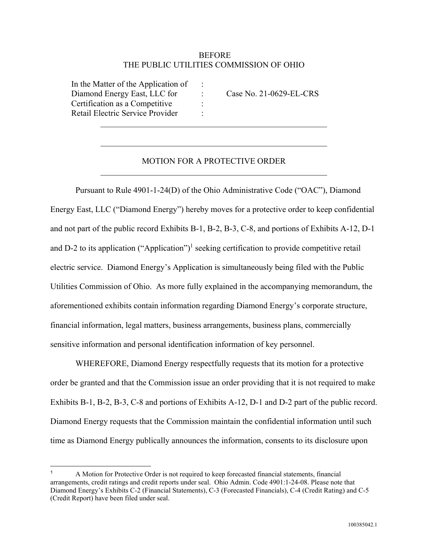## BEFORE THE PUBLIC UTILITIES COMMISSION OF OHIO

 In the Matter of the Application of : Diamond Energy East, LLC for : Case No. 21-0629-EL-CRS Certification as a Competitive : Retail Electric Service Provider :

 $\overline{a}$ 

## MOTION FOR A PROTECTIVE ORDER

 $\mathcal{L}_\text{max}$  and  $\mathcal{L}_\text{max}$  and  $\mathcal{L}_\text{max}$  and  $\mathcal{L}_\text{max}$  and  $\mathcal{L}_\text{max}$ 

 Pursuant to Rule 4901-1-24(D) of the Ohio Administrative Code ("OAC"), Diamond Energy East, LLC ("Diamond Energy") hereby moves for a protective order to keep confidential and not part of the public record Exhibits B-1, B-2, B-3, C-8, and portions of Exhibits A-12, D-1 and D-2 to its application  $("Application")<sup>1</sup>$  seeking certification to provide competitive retail electric service. Diamond Energy's Application is simultaneously being filed with the Public Utilities Commission of Ohio. As more fully explained in the accompanying memorandum, the aforementioned exhibits contain information regarding Diamond Energy's corporate structure, financial information, legal matters, business arrangements, business plans, commercially sensitive information and personal identification information of key personnel.

 WHEREFORE, Diamond Energy respectfully requests that its motion for a protective order be granted and that the Commission issue an order providing that it is not required to make Exhibits B-1, B-2, B-3, C-8 and portions of Exhibits A-12, D-1 and D-2 part of the public record. Diamond Energy requests that the Commission maintain the confidential information until such time as Diamond Energy publically announces the information, consents to its disclosure upon

<sup>1</sup> A Motion for Protective Order is not required to keep forecasted financial statements, financial arrangements, credit ratings and credit reports under seal. Ohio Admin. Code 4901:1-24-08. Please note that Diamond Energy's Exhibits C-2 (Financial Statements), C-3 (Forecasted Financials), C-4 (Credit Rating) and C-5 (Credit Report) have been filed under seal.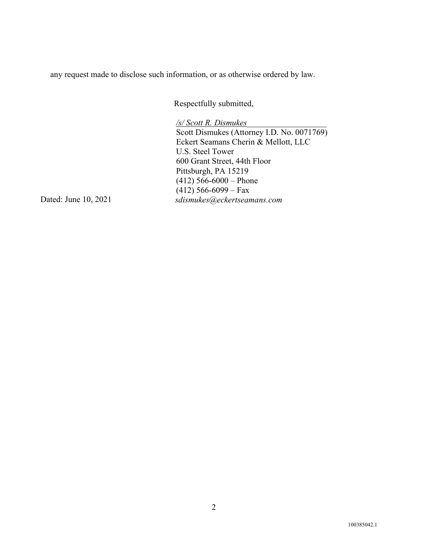any request made to disclose such information, or as otherwise ordered by law.

Respectfully submitted,

*/s/ Scott R. Dismukes\_\_\_\_\_\_\_\_\_\_\_\_\_\_\_\_\_\_\_*  Scott Dismukes (Attorney I.D. No. 0071769) Eckert Seamans Cherin & Mellott, LLC U.S. Steel Tower 600 Grant Street, 44th Floor Pittsburgh, PA 15219 (412) 566-6000 – Phone  $(412)$  566-6099 – Fax Dated: June 10, 2021 *sdismukes@eckertseamans.com*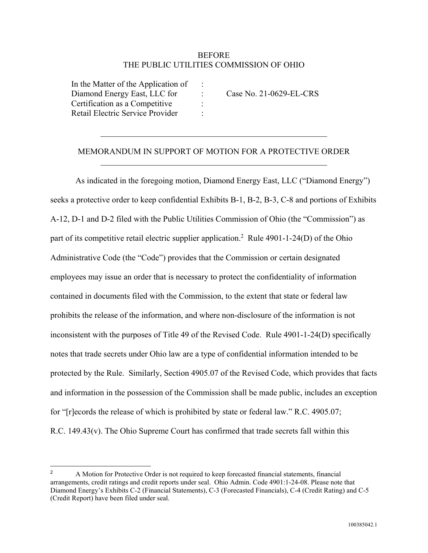## **BEFORE** THE PUBLIC UTILITIES COMMISSION OF OHIO

 In the Matter of the Application of : Diamond Energy East, LLC for : Case No. 21-0629-EL-CRS Certification as a Competitive : Retail Electric Service Provider :

 $\overline{a}$ 

## MEMORANDUM IN SUPPORT OF MOTION FOR A PROTECTIVE ORDER

 As indicated in the foregoing motion, Diamond Energy East, LLC ("Diamond Energy") seeks a protective order to keep confidential Exhibits B-1, B-2, B-3, C-8 and portions of Exhibits A-12, D-1 and D-2 filed with the Public Utilities Commission of Ohio (the "Commission") as part of its competitive retail electric supplier application.<sup>2</sup> Rule 4901-1-24(D) of the Ohio Administrative Code (the "Code") provides that the Commission or certain designated employees may issue an order that is necessary to protect the confidentiality of information contained in documents filed with the Commission, to the extent that state or federal law prohibits the release of the information, and where non-disclosure of the information is not inconsistent with the purposes of Title 49 of the Revised Code.Rule 4901-1-24(D) specifically notes that trade secrets under Ohio law are a type of confidential information intended to be protected by the Rule. Similarly, Section 4905.07 of the Revised Code, which provides that facts and information in the possession of the Commission shall be made public, includes an exception for "[r]ecords the release of which is prohibited by state or federal law." R.C. 4905.07; R.C. 149.43(v). The Ohio Supreme Court has confirmed that trade secrets fall within this

<sup>&</sup>lt;sup>2</sup> A Motion for Protective Order is not required to keep forecasted financial statements, financial arrangements, credit ratings and credit reports under seal. Ohio Admin. Code 4901:1-24-08. Please note that Diamond Energy's Exhibits C-2 (Financial Statements), C-3 (Forecasted Financials), C-4 (Credit Rating) and C-5 (Credit Report) have been filed under seal.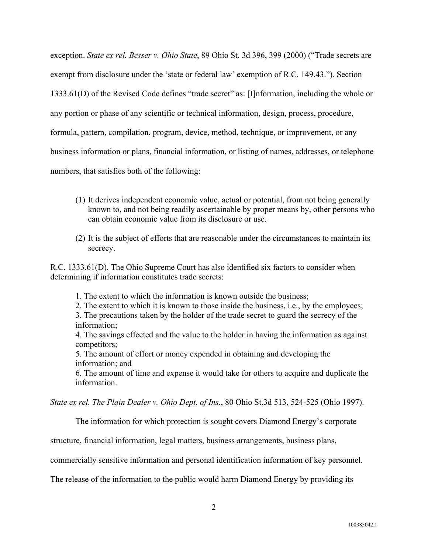exception. *State ex rel. Besser v. Ohio State*, 89 Ohio St. 3d 396, 399 (2000) ("Trade secrets are exempt from disclosure under the 'state or federal law' exemption of R.C. 149.43."). Section 1333.61(D) of the Revised Code defines "trade secret" as: [I]nformation, including the whole or any portion or phase of any scientific or technical information, design, process, procedure, formula, pattern, compilation, program, device, method, technique, or improvement, or any business information or plans, financial information, or listing of names, addresses, or telephone numbers, that satisfies both of the following:

- (1) It derives independent economic value, actual or potential, from not being generally known to, and not being readily ascertainable by proper means by, other persons who can obtain economic value from its disclosure or use.
- (2) It is the subject of efforts that are reasonable under the circumstances to maintain its secrecy.

R.C. 1333.61(D). The Ohio Supreme Court has also identified six factors to consider when determining if information constitutes trade secrets:

- 1. The extent to which the information is known outside the business;
- 2. The extent to which it is known to those inside the business, i.e., by the employees;

3. The precautions taken by the holder of the trade secret to guard the secrecy of the information;

4. The savings effected and the value to the holder in having the information as against competitors;

5. The amount of effort or money expended in obtaining and developing the information; and

6. The amount of time and expense it would take for others to acquire and duplicate the information.

*State ex rel. The Plain Dealer v. Ohio Dept. of Ins.*, 80 Ohio St.3d 513, 524-525 (Ohio 1997).

The information for which protection is sought covers Diamond Energy's corporate

structure, financial information, legal matters, business arrangements, business plans,

commercially sensitive information and personal identification information of key personnel.

The release of the information to the public would harm Diamond Energy by providing its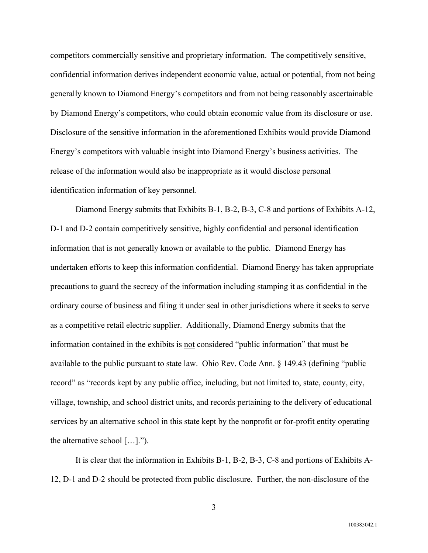competitors commercially sensitive and proprietary information. The competitively sensitive, confidential information derives independent economic value, actual or potential, from not being generally known to Diamond Energy's competitors and from not being reasonably ascertainable by Diamond Energy's competitors, who could obtain economic value from its disclosure or use. Disclosure of the sensitive information in the aforementioned Exhibits would provide Diamond Energy's competitors with valuable insight into Diamond Energy's business activities. The release of the information would also be inappropriate as it would disclose personal identification information of key personnel.

Diamond Energy submits that Exhibits B-1, B-2, B-3, C-8 and portions of Exhibits A-12, D-1 and D-2 contain competitively sensitive, highly confidential and personal identification information that is not generally known or available to the public. Diamond Energy has undertaken efforts to keep this information confidential. Diamond Energy has taken appropriate precautions to guard the secrecy of the information including stamping it as confidential in the ordinary course of business and filing it under seal in other jurisdictions where it seeks to serve as a competitive retail electric supplier. Additionally, Diamond Energy submits that the information contained in the exhibits is not considered "public information" that must be available to the public pursuant to state law. Ohio Rev. Code Ann. § 149.43 (defining "public record" as "records kept by any public office, including, but not limited to, state, county, city, village, township, and school district units, and records pertaining to the delivery of educational services by an alternative school in this state kept by the nonprofit or for-profit entity operating the alternative school […].").

It is clear that the information in Exhibits B-1, B-2, B-3, C-8 and portions of Exhibits A-12, D-1 and D-2 should be protected from public disclosure. Further, the non-disclosure of the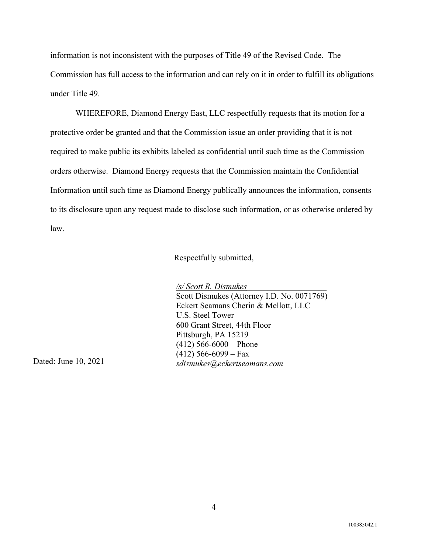information is not inconsistent with the purposes of Title 49 of the Revised Code. The Commission has full access to the information and can rely on it in order to fulfill its obligations under Title 49.

WHEREFORE, Diamond Energy East, LLC respectfully requests that its motion for a protective order be granted and that the Commission issue an order providing that it is not required to make public its exhibits labeled as confidential until such time as the Commission orders otherwise. Diamond Energy requests that the Commission maintain the Confidential Information until such time as Diamond Energy publically announces the information, consents to its disclosure upon any request made to disclose such information, or as otherwise ordered by law.

Respectfully submitted,

*/s/ Scott R. Dismukes\_\_\_\_\_\_\_\_\_\_\_\_\_\_\_\_\_\_\_* 

Scott Dismukes (Attorney I.D. No. 0071769) Eckert Seamans Cherin & Mellott, LLC U.S. Steel Tower 600 Grant Street, 44th Floor Pittsburgh, PA 15219  $(412)$  566-6000 – Phone (412) 566-6099 – Fax Dated: June 10, 2021 *sdismukes@eckertseamans.com*